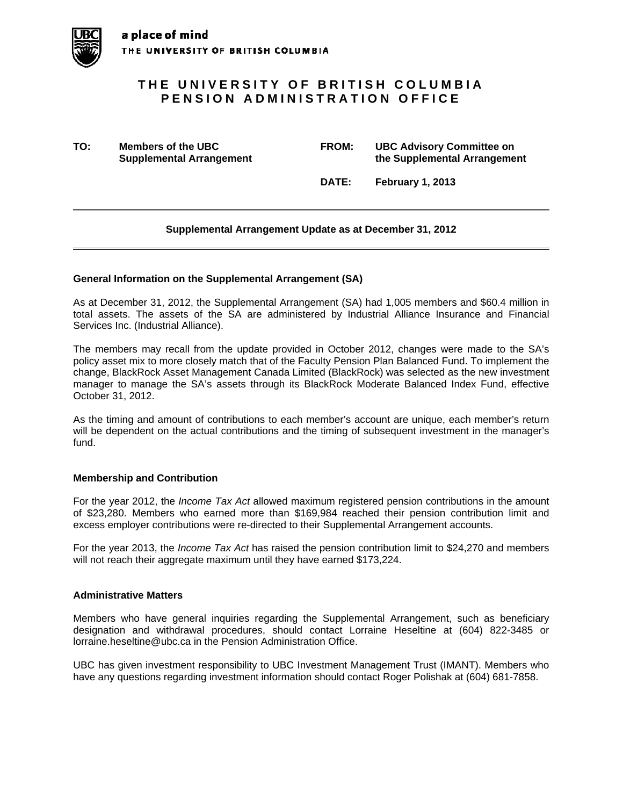

# **THE UNIVERSITY OF BRITISH COLUMBIA PENSION ADMINISTRATION OFFICE**

**TO: Members of the UBC FROM: UBC Advisory Committee on Supplemental Arrangement the Supplemental Arrangement in the Supplemental Arrangement** 

 **DATE: February 1, 2013** 

## **Supplemental Arrangement Update as at December 31, 2012**

#### **General Information on the Supplemental Arrangement (SA)**

As at December 31, 2012, the Supplemental Arrangement (SA) had 1,005 members and \$60.4 million in total assets. The assets of the SA are administered by Industrial Alliance Insurance and Financial Services Inc. (Industrial Alliance).

The members may recall from the update provided in October 2012, changes were made to the SA's policy asset mix to more closely match that of the Faculty Pension Plan Balanced Fund. To implement the change, BlackRock Asset Management Canada Limited (BlackRock) was selected as the new investment manager to manage the SA's assets through its BlackRock Moderate Balanced Index Fund, effective October 31, 2012.

As the timing and amount of contributions to each member's account are unique, each member's return will be dependent on the actual contributions and the timing of subsequent investment in the manager's fund.

#### **Membership and Contribution**

For the year 2012, the *Income Tax Act* allowed maximum registered pension contributions in the amount of \$23,280. Members who earned more than \$169,984 reached their pension contribution limit and excess employer contributions were re-directed to their Supplemental Arrangement accounts.

For the year 2013, the *Income Tax Act* has raised the pension contribution limit to \$24,270 and members will not reach their aggregate maximum until they have earned \$173,224.

#### **Administrative Matters**

Members who have general inquiries regarding the Supplemental Arrangement, such as beneficiary designation and withdrawal procedures, should contact Lorraine Heseltine at (604) 822-3485 or lorraine.heseltine@ubc.ca in the Pension Administration Office.

UBC has given investment responsibility to UBC Investment Management Trust (IMANT). Members who have any questions regarding investment information should contact Roger Polishak at (604) 681-7858.